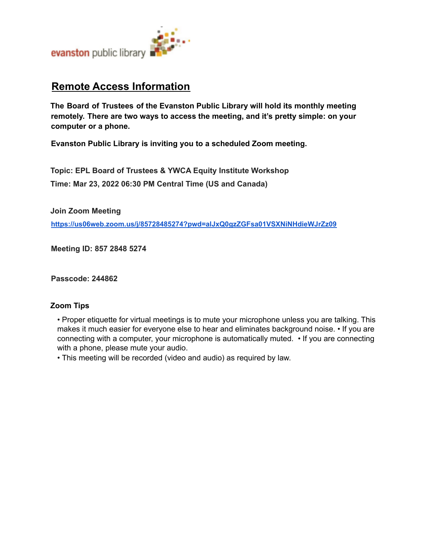

# **Remote Access Information**

**The Board of Trustees of the Evanston Public Library will hold its monthly meeting remotely. There are two ways to access the meeting, and it's pretty simple: on your computer or a phone.**

**Evanston Public Library is inviting you to a scheduled Zoom meeting.**

**Topic: EPL Board of Trustees & YWCA Equity Institute Workshop Time: Mar 23, 2022 06:30 PM Central Time (US and Canada)**

**Join Zoom Meeting**

**https://us06web.zoom.us/j/85728485274?pwd=alJxQ0gzZGFsa01VSXNiNHdieWJrZz09**

**Meeting ID: 857 2848 5274**

**Passcode: 244862**

### **Zoom Tips**

• Proper etiquette for virtual meetings is to mute your microphone unless you are talking. This makes it much easier for everyone else to hear and eliminates background noise. • If you are connecting with a computer, your microphone is automatically muted. • If you are connecting with a phone, please mute your audio.

• This meeting will be recorded (video and audio) as required by law.